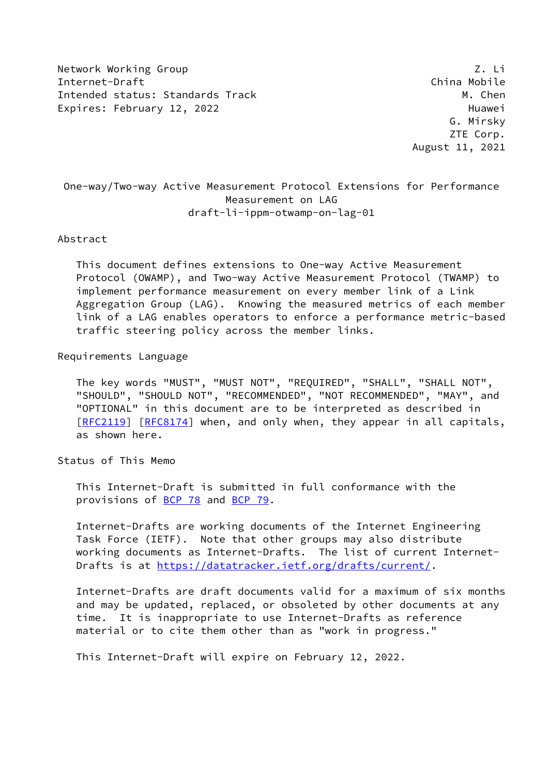Network Working Group **Z. Litter and Struck Control** 2. Litter and Z. Litter and Z. Litter and Z. Litter and Z. Li Internet-Draft China Mobile Intended status: Standards Track M. Chen Expires: February 12, 2022 and the control of the Huawei

 G. Mirsky ZTE Corp. August 11, 2021

# One-way/Two-way Active Measurement Protocol Extensions for Performance Measurement on LAG draft-li-ippm-otwamp-on-lag-01

#### Abstract

 This document defines extensions to One-way Active Measurement Protocol (OWAMP), and Two-way Active Measurement Protocol (TWAMP) to implement performance measurement on every member link of a Link Aggregation Group (LAG). Knowing the measured metrics of each member link of a LAG enables operators to enforce a performance metric-based traffic steering policy across the member links.

Requirements Language

 The key words "MUST", "MUST NOT", "REQUIRED", "SHALL", "SHALL NOT", "SHOULD", "SHOULD NOT", "RECOMMENDED", "NOT RECOMMENDED", "MAY", and "OPTIONAL" in this document are to be interpreted as described in [\[RFC2119](https://datatracker.ietf.org/doc/pdf/rfc2119)] [[RFC8174](https://datatracker.ietf.org/doc/pdf/rfc8174)] when, and only when, they appear in all capitals, as shown here.

Status of This Memo

 This Internet-Draft is submitted in full conformance with the provisions of [BCP 78](https://datatracker.ietf.org/doc/pdf/bcp78) and [BCP 79](https://datatracker.ietf.org/doc/pdf/bcp79).

 Internet-Drafts are working documents of the Internet Engineering Task Force (IETF). Note that other groups may also distribute working documents as Internet-Drafts. The list of current Internet Drafts is at<https://datatracker.ietf.org/drafts/current/>.

 Internet-Drafts are draft documents valid for a maximum of six months and may be updated, replaced, or obsoleted by other documents at any time. It is inappropriate to use Internet-Drafts as reference material or to cite them other than as "work in progress."

This Internet-Draft will expire on February 12, 2022.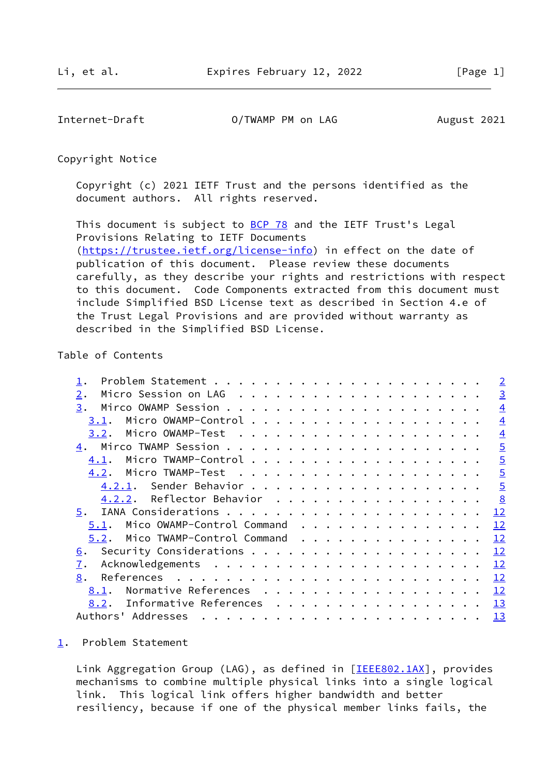<span id="page-1-1"></span>Internet-Draft 0/TWAMP PM on LAG August 2021

Copyright Notice

 Copyright (c) 2021 IETF Trust and the persons identified as the document authors. All rights reserved.

This document is subject to **[BCP 78](https://datatracker.ietf.org/doc/pdf/bcp78)** and the IETF Trust's Legal Provisions Relating to IETF Documents [\(https://trustee.ietf.org/license-info](https://trustee.ietf.org/license-info)) in effect on the date of publication of this document. Please review these documents carefully, as they describe your rights and restrictions with respect to this document. Code Components extracted from this document must include Simplified BSD License text as described in Section 4.e of the Trust Legal Provisions and are provided without warranty as described in the Simplified BSD License.

## Table of Contents

|                                    |  |  | $\overline{2}$ |
|------------------------------------|--|--|----------------|
| 2.                                 |  |  | $\overline{3}$ |
| 3.                                 |  |  | $\overline{4}$ |
| 3.1.                               |  |  | $\overline{4}$ |
| 3.2.                               |  |  | $\overline{4}$ |
| 4.                                 |  |  | $\overline{5}$ |
| 4.1.                               |  |  | $\overline{5}$ |
| 4.2.                               |  |  | $\overline{5}$ |
|                                    |  |  | $\overline{5}$ |
| Reflector Behavior<br>4.2.2.       |  |  | 8              |
| 5.                                 |  |  | 12             |
| Mico OWAMP-Control Command<br>5.1. |  |  | 12             |
| Mico TWAMP-Control Command<br>5.2. |  |  | 12             |
| <u>6</u> .                         |  |  | 12             |
| 7.                                 |  |  | 12             |
| 8.                                 |  |  | 12             |
| Normative References<br>8.1.       |  |  | 12             |
| Informative References<br>8.2.     |  |  | 13             |
| Authors' Addresses                 |  |  | 13             |

### <span id="page-1-0"></span>[1](#page-1-0). Problem Statement

Link Aggregation Group (LAG), as defined in [\[IEEE802.1AX](#page-13-5)], provides mechanisms to combine multiple physical links into a single logical link. This logical link offers higher bandwidth and better resiliency, because if one of the physical member links fails, the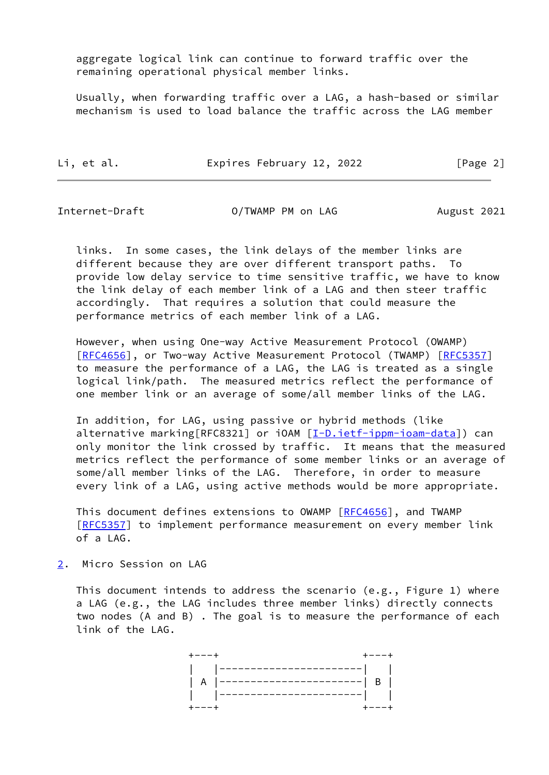aggregate logical link can continue to forward traffic over the remaining operational physical member links.

 Usually, when forwarding traffic over a LAG, a hash-based or similar mechanism is used to load balance the traffic across the LAG member

Li, et al. Expires February 12, 2022 [Page 2]

<span id="page-2-1"></span>

Internet-Draft O/TWAMP PM on LAG August 2021

 links. In some cases, the link delays of the member links are different because they are over different transport paths. To provide low delay service to time sensitive traffic, we have to know the link delay of each member link of a LAG and then steer traffic accordingly. That requires a solution that could measure the performance metrics of each member link of a LAG.

 However, when using One-way Active Measurement Protocol (OWAMP) [\[RFC4656](https://datatracker.ietf.org/doc/pdf/rfc4656)], or Two-way Active Measurement Protocol (TWAMP) [[RFC5357](https://datatracker.ietf.org/doc/pdf/rfc5357)] to measure the performance of a LAG, the LAG is treated as a single logical link/path. The measured metrics reflect the performance of one member link or an average of some/all member links of the LAG.

 In addition, for LAG, using passive or hybrid methods (like alternative marking[RFC8321] or iOAM [\[I-D.ietf-ippm-ioam-data](#page-13-6)]) can only monitor the link crossed by traffic. It means that the measured metrics reflect the performance of some member links or an average of some/all member links of the LAG. Therefore, in order to measure every link of a LAG, using active methods would be more appropriate.

This document defines extensions to OWAMP [[RFC4656](https://datatracker.ietf.org/doc/pdf/rfc4656)], and TWAMP [\[RFC5357](https://datatracker.ietf.org/doc/pdf/rfc5357)] to implement performance measurement on every member link of a LAG.

<span id="page-2-0"></span>[2](#page-2-0). Micro Session on LAG

 This document intends to address the scenario (e.g., Figure 1) where a LAG (e.g., the LAG includes three member links) directly connects two nodes (A and B) . The goal is to measure the performance of each link of the LAG.

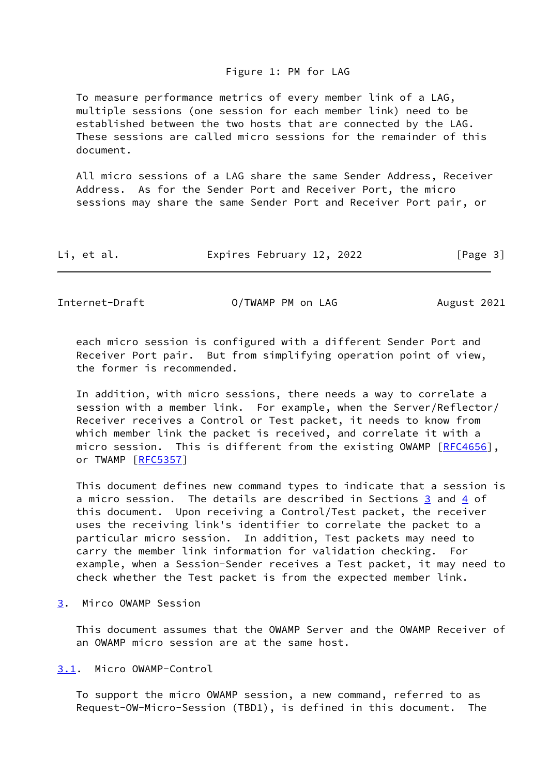### Figure 1: PM for LAG

 To measure performance metrics of every member link of a LAG, multiple sessions (one session for each member link) need to be established between the two hosts that are connected by the LAG. These sessions are called micro sessions for the remainder of this document.

 All micro sessions of a LAG share the same Sender Address, Receiver Address. As for the Sender Port and Receiver Port, the micro sessions may share the same Sender Port and Receiver Port pair, or

| Li, et al.<br>Expires February 12, 2022 | [Page 3] |
|-----------------------------------------|----------|
|-----------------------------------------|----------|

<span id="page-3-1"></span>Internet-Draft O/TWAMP PM on LAG August 2021

 each micro session is configured with a different Sender Port and Receiver Port pair. But from simplifying operation point of view, the former is recommended.

 In addition, with micro sessions, there needs a way to correlate a session with a member link. For example, when the Server/Reflector/ Receiver receives a Control or Test packet, it needs to know from which member link the packet is received, and correlate it with a micro session. This is different from the existing OWAMP [[RFC4656](https://datatracker.ietf.org/doc/pdf/rfc4656)], or TWAMP [\[RFC5357](https://datatracker.ietf.org/doc/pdf/rfc5357)]

 This document defines new command types to indicate that a session is a micro session. The details are described in Sections [3](#page-3-0) and [4](#page-4-1) of this document. Upon receiving a Control/Test packet, the receiver uses the receiving link's identifier to correlate the packet to a particular micro session. In addition, Test packets may need to carry the member link information for validation checking. For example, when a Session-Sender receives a Test packet, it may need to check whether the Test packet is from the expected member link.

<span id="page-3-0"></span>[3](#page-3-0). Mirco OWAMP Session

 This document assumes that the OWAMP Server and the OWAMP Receiver of an OWAMP micro session are at the same host.

<span id="page-3-2"></span>[3.1](#page-3-2). Micro OWAMP-Control

 To support the micro OWAMP session, a new command, referred to as Request-OW-Micro-Session (TBD1), is defined in this document. The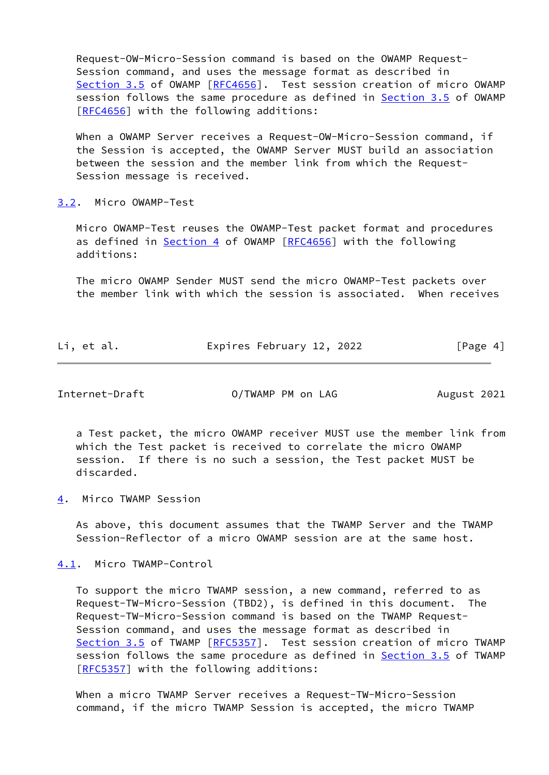Request-OW-Micro-Session command is based on the OWAMP Request- Session command, and uses the message format as described in Section 3.5 of OWAMP [\[RFC4656](https://datatracker.ietf.org/doc/pdf/rfc4656)]. Test session creation of micro OWAMP session follows the same procedure as defined in **Section 3.5** of OWAMP [\[RFC4656](https://datatracker.ietf.org/doc/pdf/rfc4656)] with the following additions:

 When a OWAMP Server receives a Request-OW-Micro-Session command, if the Session is accepted, the OWAMP Server MUST build an association between the session and the member link from which the Request- Session message is received.

<span id="page-4-0"></span>[3.2](#page-4-0). Micro OWAMP-Test

 Micro OWAMP-Test reuses the OWAMP-Test packet format and procedures as defined in [Section 4](#page-4-1) of OWAMP [\[RFC4656](https://datatracker.ietf.org/doc/pdf/rfc4656)] with the following additions:

 The micro OWAMP Sender MUST send the micro OWAMP-Test packets over the member link with which the session is associated. When receives

| Li, et al. | Expires February 12, 2022 |  | [Page 4] |  |
|------------|---------------------------|--|----------|--|
|            |                           |  |          |  |

<span id="page-4-2"></span>Internet-Draft O/TWAMP PM on LAG August 2021

 a Test packet, the micro OWAMP receiver MUST use the member link from which the Test packet is received to correlate the micro OWAMP session. If there is no such a session, the Test packet MUST be discarded.

<span id="page-4-1"></span>[4](#page-4-1). Mirco TWAMP Session

 As above, this document assumes that the TWAMP Server and the TWAMP Session-Reflector of a micro OWAMP session are at the same host.

<span id="page-4-3"></span>[4.1](#page-4-3). Micro TWAMP-Control

 To support the micro TWAMP session, a new command, referred to as Request-TW-Micro-Session (TBD2), is defined in this document. The Request-TW-Micro-Session command is based on the TWAMP Request- Session command, and uses the message format as described in Section 3.5 of TWAMP [\[RFC5357](https://datatracker.ietf.org/doc/pdf/rfc5357)]. Test session creation of micro TWAMP session follows the same procedure as defined in Section 3.5 of TWAMP [\[RFC5357](https://datatracker.ietf.org/doc/pdf/rfc5357)] with the following additions:

 When a micro TWAMP Server receives a Request-TW-Micro-Session command, if the micro TWAMP Session is accepted, the micro TWAMP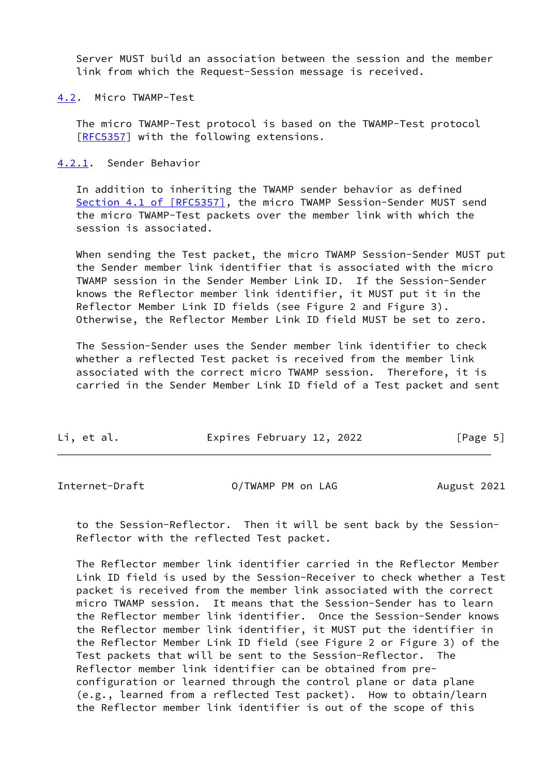Server MUST build an association between the session and the member link from which the Request-Session message is received.

<span id="page-5-0"></span>[4.2](#page-5-0). Micro TWAMP-Test

 The micro TWAMP-Test protocol is based on the TWAMP-Test protocol [\[RFC5357](https://datatracker.ietf.org/doc/pdf/rfc5357)] with the following extensions.

<span id="page-5-1"></span>[4.2.1](#page-5-1). Sender Behavior

 In addition to inheriting the TWAMP sender behavior as defined Section [4.1 of \[RFC5357\]](https://datatracker.ietf.org/doc/pdf/rfc5357#section-4.1), the micro TWAMP Session-Sender MUST send the micro TWAMP-Test packets over the member link with which the session is associated.

 When sending the Test packet, the micro TWAMP Session-Sender MUST put the Sender member link identifier that is associated with the micro TWAMP session in the Sender Member Link ID. If the Session-Sender knows the Reflector member link identifier, it MUST put it in the Reflector Member Link ID fields (see Figure 2 and Figure 3). Otherwise, the Reflector Member Link ID field MUST be set to zero.

 The Session-Sender uses the Sender member link identifier to check whether a reflected Test packet is received from the member link associated with the correct micro TWAMP session. Therefore, it is carried in the Sender Member Link ID field of a Test packet and sent

| Li, et al. | Expires February 12, 2022 | [Page 5] |
|------------|---------------------------|----------|
|------------|---------------------------|----------|

Internet-Draft 0/TWAMP PM on LAG August 2021

 to the Session-Reflector. Then it will be sent back by the Session- Reflector with the reflected Test packet.

 The Reflector member link identifier carried in the Reflector Member Link ID field is used by the Session-Receiver to check whether a Test packet is received from the member link associated with the correct micro TWAMP session. It means that the Session-Sender has to learn the Reflector member link identifier. Once the Session-Sender knows the Reflector member link identifier, it MUST put the identifier in the Reflector Member Link ID field (see Figure 2 or Figure 3) of the Test packets that will be sent to the Session-Reflector. The Reflector member link identifier can be obtained from pre configuration or learned through the control plane or data plane (e.g., learned from a reflected Test packet). How to obtain/learn the Reflector member link identifier is out of the scope of this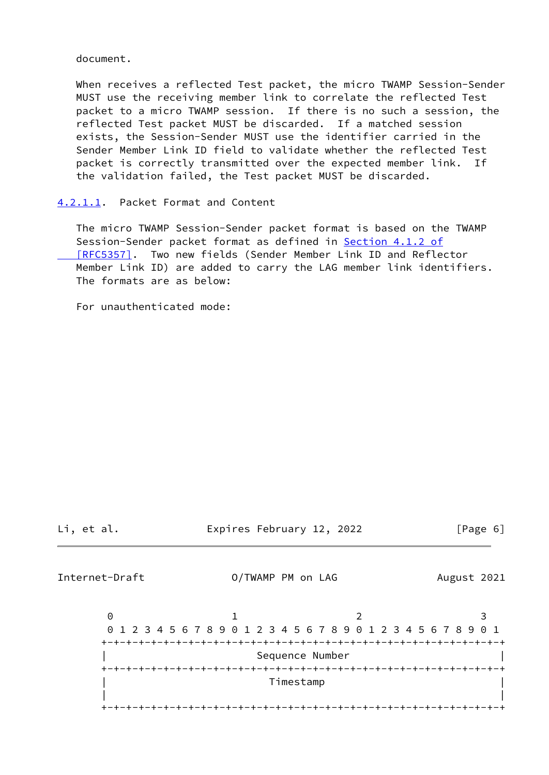document.

 When receives a reflected Test packet, the micro TWAMP Session-Sender MUST use the receiving member link to correlate the reflected Test packet to a micro TWAMP session. If there is no such a session, the reflected Test packet MUST be discarded. If a matched session exists, the Session-Sender MUST use the identifier carried in the Sender Member Link ID field to validate whether the reflected Test packet is correctly transmitted over the expected member link. If the validation failed, the Test packet MUST be discarded.

## <span id="page-6-0"></span>[4.2.1.1](#page-6-0). Packet Format and Content

 The micro TWAMP Session-Sender packet format is based on the TWAMP Session-Sender packet format as defined in Section [4.1.2 of](https://datatracker.ietf.org/doc/pdf/rfc5357#section-4.1.2)  [\[RFC5357\]](https://datatracker.ietf.org/doc/pdf/rfc5357#section-4.1.2). Two new fields (Sender Member Link ID and Reflector Member Link ID) are added to carry the LAG member link identifiers. The formats are as below:

For unauthenticated mode:

Li, et al. Expires February 12, 2022 [Page 6]

Internet-Draft O/TWAMP PM on LAG August 2021

 $0$  1 2 3 0 1 2 3 4 5 6 7 8 9 0 1 2 3 4 5 6 7 8 9 0 1 2 3 4 5 6 7 8 9 0 1 +-+-+-+-+-+-+-+-+-+-+-+-+-+-+-+-+-+-+-+-+-+-+-+-+-+-+-+-+-+-+-+-+ Sequence Number +-+-+-+-+-+-+-+-+-+-+-+-+-+-+-+-+-+-+-+-+-+-+-+-+-+-+-+-+-+-+-+-+ | Timestamp | | | +-+-+-+-+-+-+-+-+-+-+-+-+-+-+-+-+-+-+-+-+-+-+-+-+-+-+-+-+-+-+-+-+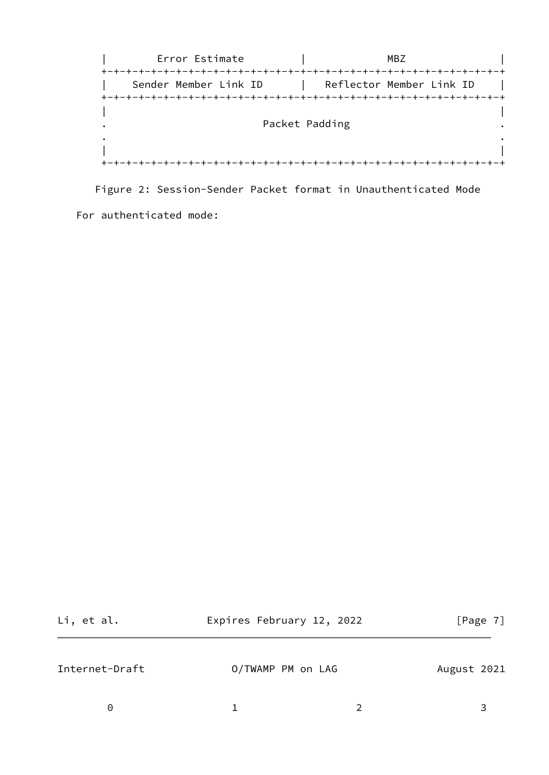| Error Estimate                                       |                | MBZ                      |  |
|------------------------------------------------------|----------------|--------------------------|--|
| +-+-+-+-+-+-+-+-+-+-+-+-+-+<br>Sender Member Link ID |                | Reflector Member Link ID |  |
|                                                      |                |                          |  |
|                                                      | Packet Padding |                          |  |
|                                                      |                |                          |  |
|                                                      |                |                          |  |

Figure 2: Session-Sender Packet format in Unauthenticated Mode

For authenticated mode:

<span id="page-7-0"></span>

| Li, et al.     | Expires February 12, 2022 | [Page 7]    |
|----------------|---------------------------|-------------|
| Internet-Draft | O/TWAMP PM on LAG         | August 2021 |
| 0              |                           |             |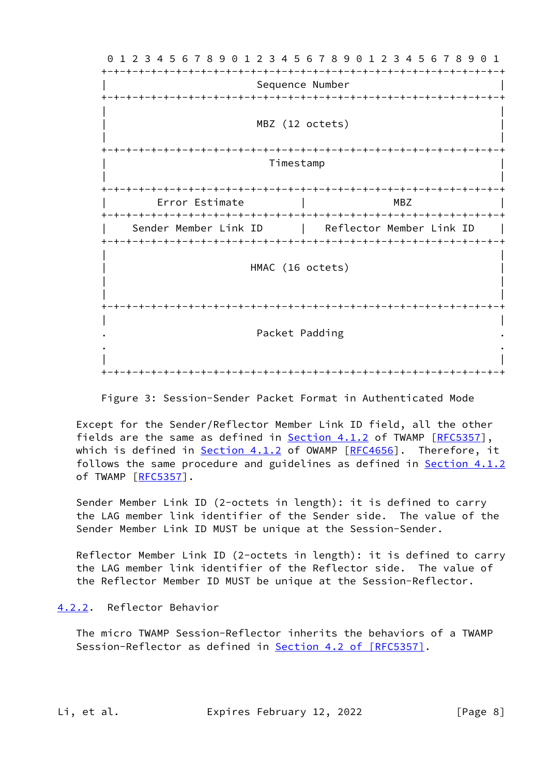0 1 2 3 4 5 6 7 8 9 0 1 2 3 4 5 6 7 8 9 0 1 2 3 4 5 6 7 8 9 0 1 +-+-+-+-+-+-+-+-+-+-+-+-+-+-+-+-+-+-+-+-+-+-+-+-+-+-+-+-+-+-+-+-+ Sequence Number +-+-+-+-+-+-+-+-+-+-+-+-+-+-+-+-+-+-+-+-+-+-+-+-+-+-+-+-+-+-+-+-+ | | MBZ (12 octets) | | +-+-+-+-+-+-+-+-+-+-+-+-+-+-+-+-+-+-+-+-+-+-+-+-+-+-+-+-+-+-+-+-+ | Timestamp | | | +-+-+-+-+-+-+-+-+-+-+-+-+-+-+-+-+-+-+-+-+-+-+-+-+-+-+-+-+-+-+-+-+ | Error Estimate | MBZ | +-+-+-+-+-+-+-+-+-+-+-+-+-+-+-+-+-+-+-+-+-+-+-+-+-+-+-+-+-+-+-+-+ Sender Member Link ID | Reflector Member Link ID +-+-+-+-+-+-+-+-+-+-+-+-+-+-+-+-+-+-+-+-+-+-+-+-+-+-+-+-+-+-+-+-+ | | HMAC (16 octets) | | | | +-+-+-+-+-+-+-+-+-+-+-+-+-+-+-+-+-+-+-+-+-+-+-+-+-+-+-+-+-+-+-+-+ | | . Packet Padding . . . | | +-+-+-+-+-+-+-+-+-+-+-+-+-+-+-+-+-+-+-+-+-+-+-+-+-+-+-+-+-+-+-+-+

Figure 3: Session-Sender Packet Format in Authenticated Mode

 Except for the Sender/Reflector Member Link ID field, all the other fields are the same as defined in Section 4.1.2 of TWAMP [\[RFC5357](https://datatracker.ietf.org/doc/pdf/rfc5357)], which is defined in **Section 4.1.2** of OWAMP [[RFC4656\]](https://datatracker.ietf.org/doc/pdf/rfc4656). Therefore, it follows the same procedure and guidelines as defined in **Section 4.1.2** of TWAMP [\[RFC5357](https://datatracker.ietf.org/doc/pdf/rfc5357)].

 Sender Member Link ID (2-octets in length): it is defined to carry the LAG member link identifier of the Sender side. The value of the Sender Member Link ID MUST be unique at the Session-Sender.

 Reflector Member Link ID (2-octets in length): it is defined to carry the LAG member link identifier of the Reflector side. The value of the Reflector Member ID MUST be unique at the Session-Reflector.

# <span id="page-8-0"></span>[4.2.2](#page-8-0). Reflector Behavior

 The micro TWAMP Session-Reflector inherits the behaviors of a TWAMP Session-Reflector as defined in Section [4.2 of \[RFC5357\]](https://datatracker.ietf.org/doc/pdf/rfc5357#section-4.2).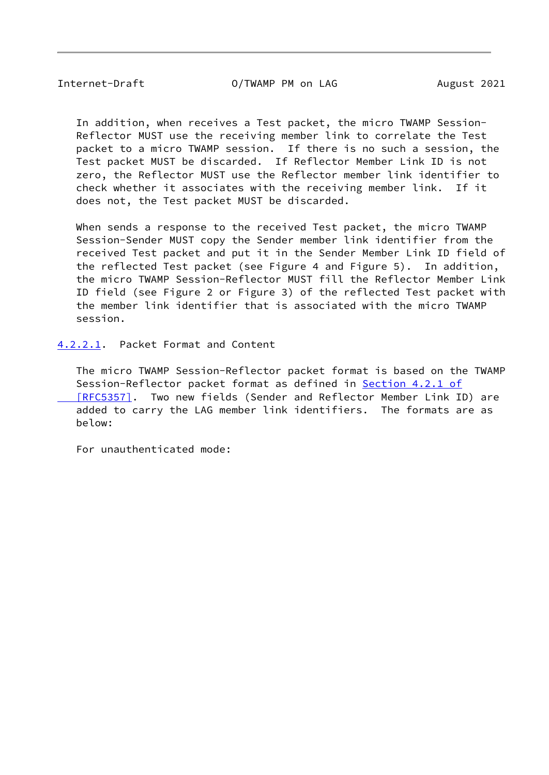Internet-Draft O/TWAMP PM on LAG August 2021

 In addition, when receives a Test packet, the micro TWAMP Session- Reflector MUST use the receiving member link to correlate the Test packet to a micro TWAMP session. If there is no such a session, the Test packet MUST be discarded. If Reflector Member Link ID is not zero, the Reflector MUST use the Reflector member link identifier to check whether it associates with the receiving member link. If it does not, the Test packet MUST be discarded.

 When sends a response to the received Test packet, the micro TWAMP Session-Sender MUST copy the Sender member link identifier from the received Test packet and put it in the Sender Member Link ID field of the reflected Test packet (see Figure 4 and Figure 5). In addition, the micro TWAMP Session-Reflector MUST fill the Reflector Member Link ID field (see Figure 2 or Figure 3) of the reflected Test packet with the member link identifier that is associated with the micro TWAMP session.

<span id="page-9-0"></span>[4.2.2.1](#page-9-0). Packet Format and Content

 The micro TWAMP Session-Reflector packet format is based on the TWAMP Session-Reflector packet format as defined in Section [4.2.1 of](https://datatracker.ietf.org/doc/pdf/rfc5357#section-4.2.1)  [\[RFC5357\]](https://datatracker.ietf.org/doc/pdf/rfc5357#section-4.2.1). Two new fields (Sender and Reflector Member Link ID) are added to carry the LAG member link identifiers. The formats are as below:

For unauthenticated mode: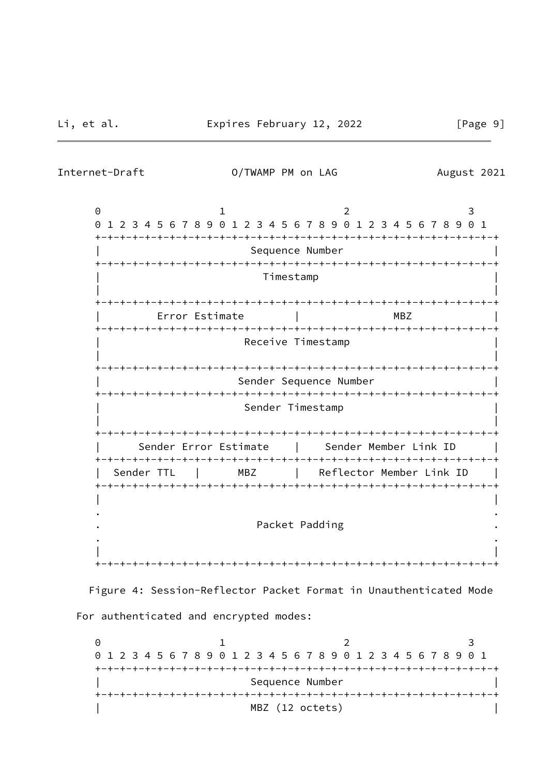Internet-Draft O/TWAMP PM on LAG August 2021

0 1 2 3 0 1 2 3 4 5 6 7 8 9 0 1 2 3 4 5 6 7 8 9 0 1 2 3 4 5 6 7 8 9 0 1 +-+-+-+-+-+-+-+-+-+-+-+-+-+-+-+-+-+-+-+-+-+-+-+-+-+-+-+-+-+-+-+-+ Sequence Number +-+-+-+-+-+-+-+-+-+-+-+-+-+-+-+-+-+-+-+-+-+-+-+-+-+-+-+-+-+-+-+-+ | Timestamp | | | +-+-+-+-+-+-+-+-+-+-+-+-+-+-+-+-+-+-+-+-+-+-+-+-+-+-+-+-+-+-+-+-+ | Error Estimate | MBZ | +-+-+-+-+-+-+-+-+-+-+-+-+-+-+-+-+-+-+-+-+-+-+-+-+-+-+-+-+-+-+-+-+ Receive Timestamp | | +-+-+-+-+-+-+-+-+-+-+-+-+-+-+-+-+-+-+-+-+-+-+-+-+-+-+-+-+-+-+-+-+ Sender Sequence Number +-+-+-+-+-+-+-+-+-+-+-+-+-+-+-+-+-+-+-+-+-+-+-+-+-+-+-+-+-+-+-+-+ Sender Timestamp | | +-+-+-+-+-+-+-+-+-+-+-+-+-+-+-+-+-+-+-+-+-+-+-+-+-+-+-+-+-+-+-+-+ Sender Error Estimate | Sender Member Link ID +-+-+-+-+-+-+-+-+-+-+-+-+-+-+-+-+-+-+-+-+-+-+-+-+-+-+-+-+-+-+-+-+ Sender TTL | MBZ | Reflector Member Link ID | +-+-+-+-+-+-+-+-+-+-+-+-+-+-+-+-+-+-+-+-+-+-+-+-+-+-+-+-+-+-+-+-+ | | . . Packet Padding . . | | +-+-+-+-+-+-+-+-+-+-+-+-+-+-+-+-+-+-+-+-+-+-+-+-+-+-+-+-+-+-+-+-+

 Figure 4: Session-Reflector Packet Format in Unauthenticated Mode For authenticated and encrypted modes:

0 1 2 3 0 1 2 3 4 5 6 7 8 9 0 1 2 3 4 5 6 7 8 9 0 1 2 3 4 5 6 7 8 9 0 1 +-+-+-+-+-+-+-+-+-+-+-+-+-+-+-+-+-+-+-+-+-+-+-+-+-+-+-+-+-+-+-+-+ Sequence Number +-+-+-+-+-+-+-+-+-+-+-+-+-+-+-+-+-+-+-+-+-+-+-+-+-+-+-+-+-+-+-+-+ MBZ (12 octets)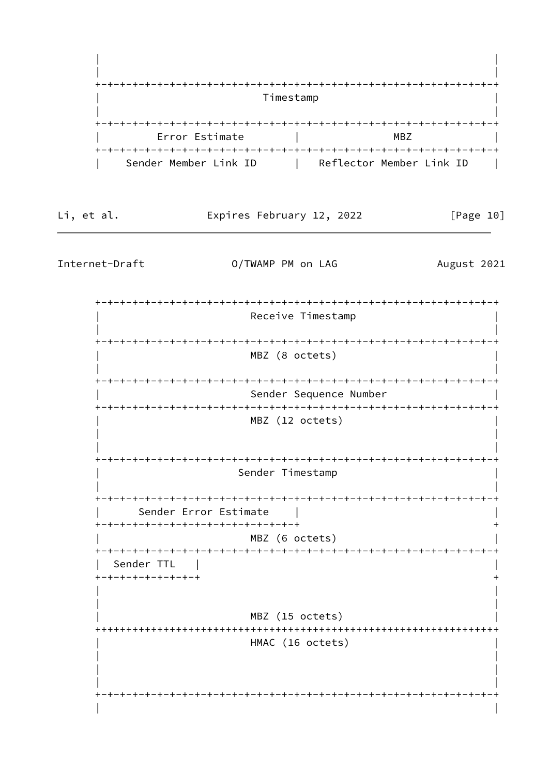

Li, et al.

Expires February 12, 2022

 $[Page 10]$ 

Internet-Draft

O/TWAMP PM on LAG

August 2021

Receive Timestamp MBZ (8 octets) Sender Sequence Number MBZ (12 octets) Sender Timestamp Sender Error Estimate +-+-+-+-+-+-+-+-+-+-+-+-+-+-+-+-+ MBZ (6 octets) Sender TTL +-+-+-+-+-+-+-+-+ MBZ (15 octets) HMAC (16 octets)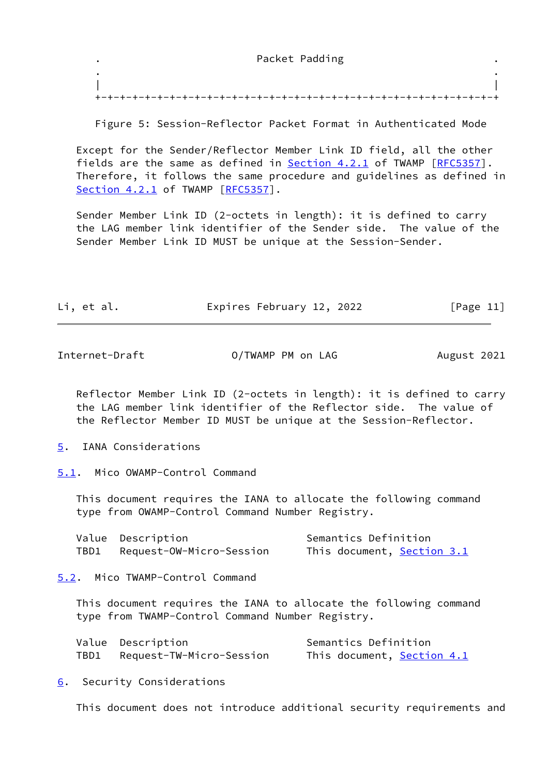#### . Packet Padding .

 . . | | +-+-+-+-+-+-+-+-+-+-+-+-+-+-+-+-+-+-+-+-+-+-+-+-+-+-+-+-+-+-+-+-+

Figure 5: Session-Reflector Packet Format in Authenticated Mode

 Except for the Sender/Reflector Member Link ID field, all the other fields are the same as defined in **Section 4.2.1** of TWAMP [\[RFC5357](https://datatracker.ietf.org/doc/pdf/rfc5357)]. Therefore, it follows the same procedure and guidelines as defined in [Section 4.2.1](#page-5-1) of TWAMP [\[RFC5357](https://datatracker.ietf.org/doc/pdf/rfc5357)].

 Sender Member Link ID (2-octets in length): it is defined to carry the LAG member link identifier of the Sender side. The value of the Sender Member Link ID MUST be unique at the Session-Sender.

| [Page 11]<br>Expires February 12, 2022<br>Li, et al. |  |
|------------------------------------------------------|--|
|------------------------------------------------------|--|

<span id="page-12-1"></span>Internet-Draft 0/TWAMP PM on LAG August 2021

 Reflector Member Link ID (2-octets in length): it is defined to carry the LAG member link identifier of the Reflector side. The value of the Reflector Member ID MUST be unique at the Session-Reflector.

<span id="page-12-0"></span>[5](#page-12-0). IANA Considerations

<span id="page-12-2"></span>[5.1](#page-12-2). Mico OWAMP-Control Command

 This document requires the IANA to allocate the following command type from OWAMP-Control Command Number Registry.

|      | Value Description        | Semantics Definition       |
|------|--------------------------|----------------------------|
| TBD1 | Request-OW-Micro-Session | This document, Section 3.1 |

<span id="page-12-3"></span>[5.2](#page-12-3). Mico TWAMP-Control Command

 This document requires the IANA to allocate the following command type from TWAMP-Control Command Number Registry.

| Value Description        | Semantics Definition              |
|--------------------------|-----------------------------------|
| Request-TW-Micro-Session | This document, <b>Section 4.1</b> |

<span id="page-12-4"></span>[6](#page-12-4). Security Considerations

This document does not introduce additional security requirements and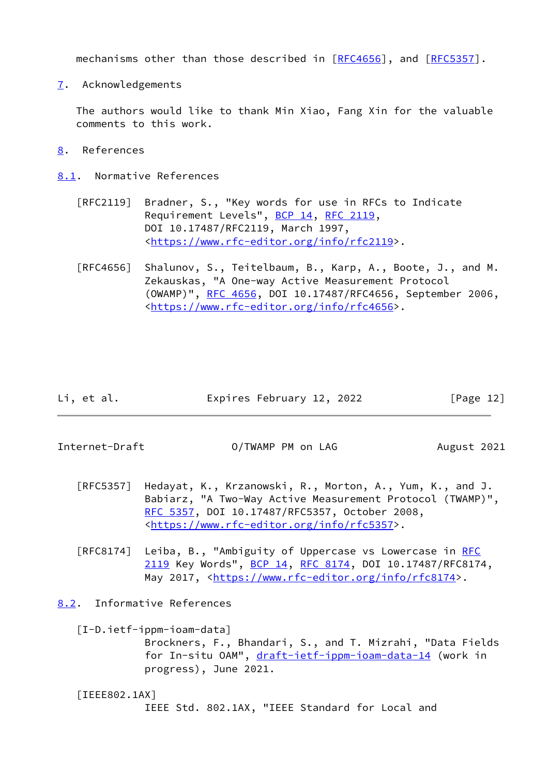mechanisms other than those described in [\[RFC4656](https://datatracker.ietf.org/doc/pdf/rfc4656)], and [\[RFC5357](https://datatracker.ietf.org/doc/pdf/rfc5357)].

<span id="page-13-0"></span>[7](#page-13-0). Acknowledgements

 The authors would like to thank Min Xiao, Fang Xin for the valuable comments to this work.

- <span id="page-13-1"></span>[8](#page-13-1). References
- <span id="page-13-2"></span>[8.1](#page-13-2). Normative References
	- [RFC2119] Bradner, S., "Key words for use in RFCs to Indicate Requirement Levels", [BCP 14](https://datatracker.ietf.org/doc/pdf/bcp14), [RFC 2119](https://datatracker.ietf.org/doc/pdf/rfc2119), DOI 10.17487/RFC2119, March 1997, <[https://www.rfc-editor.org/info/rfc2119>](https://www.rfc-editor.org/info/rfc2119).
	- [RFC4656] Shalunov, S., Teitelbaum, B., Karp, A., Boote, J., and M. Zekauskas, "A One-way Active Measurement Protocol (OWAMP)", [RFC 4656](https://datatracker.ietf.org/doc/pdf/rfc4656), DOI 10.17487/RFC4656, September 2006, <[https://www.rfc-editor.org/info/rfc4656>](https://www.rfc-editor.org/info/rfc4656).

| Li, et al. | Expires February 12, 2022 | [Page 12] |
|------------|---------------------------|-----------|
|------------|---------------------------|-----------|

<span id="page-13-4"></span>Internet-Draft 0/TWAMP PM on LAG August 2021

- [RFC5357] Hedayat, K., Krzanowski, R., Morton, A., Yum, K., and J. Babiarz, "A Two-Way Active Measurement Protocol (TWAMP)", [RFC 5357,](https://datatracker.ietf.org/doc/pdf/rfc5357) DOI 10.17487/RFC5357, October 2008, <[https://www.rfc-editor.org/info/rfc5357>](https://www.rfc-editor.org/info/rfc5357).
- [RFC8174] Leiba, B., "Ambiguity of Uppercase vs Lowercase in [RFC](https://datatracker.ietf.org/doc/pdf/rfc2119) [2119](https://datatracker.ietf.org/doc/pdf/rfc2119) Key Words", [BCP 14](https://datatracker.ietf.org/doc/pdf/bcp14), [RFC 8174,](https://datatracker.ietf.org/doc/pdf/rfc8174) DOI 10.17487/RFC8174, May 2017, [<https://www.rfc-editor.org/info/rfc8174](https://www.rfc-editor.org/info/rfc8174)>.

<span id="page-13-3"></span>[8.2](#page-13-3). Informative References

<span id="page-13-6"></span> [I-D.ietf-ippm-ioam-data] Brockners, F., Bhandari, S., and T. Mizrahi, "Data Fields for In-situ OAM", [draft-ietf-ippm-ioam-data-14](https://datatracker.ietf.org/doc/pdf/draft-ietf-ippm-ioam-data-14) (work in progress), June 2021.

<span id="page-13-5"></span> [IEEE802.1AX] IEEE Std. 802.1AX, "IEEE Standard for Local and